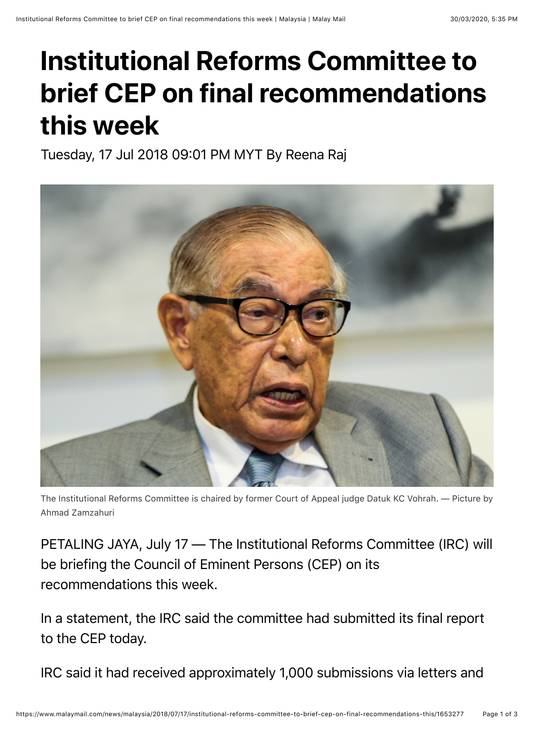## **Institutional Reforms Committee to brief CEP on final recommendations this week**

Tuesday, 17 Jul 2018 09:01 PM MYT By Reena Raj



The Institutional Reforms Committee is chaired by former Court of Appeal judge Datuk KC Vohrah. — Picture by Ahmad Zamzahuri

PETALING JAYA, July 17 — The Institutional Reforms Committee (IRC) will be briefing the Council of Eminent Persons (CEP) on its recommendations this week.

In a statement, the IRC said the committee had submitted its final report to the CEP today.

IRC said it had received approximately 1,000 submissions via letters and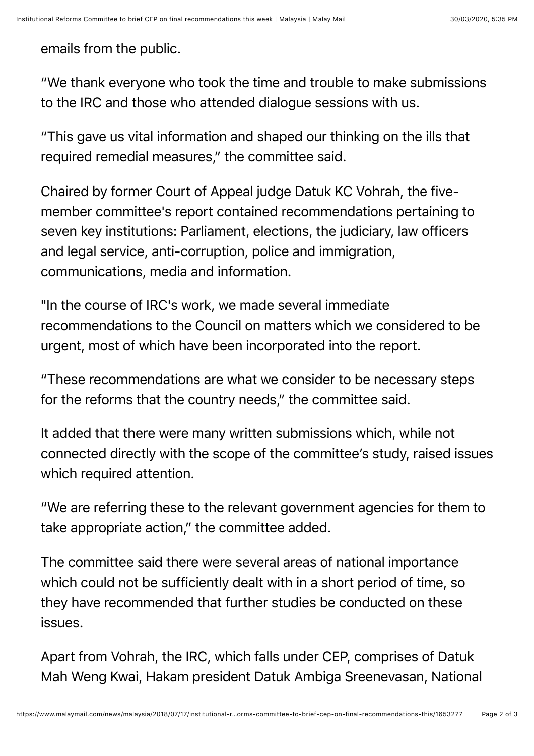emails from the public.

"We thank everyone who took the time and trouble to make submissions to the IRC and those who attended dialogue sessions with us.

"This gave us vital information and shaped our thinking on the ills that required remedial measures," the committee said.

Chaired by former Court of Appeal judge Datuk KC Vohrah, the fivemember committee's report contained recommendations pertaining to seven key institutions: Parliament, elections, the judiciary, law officers and legal service, anti-corruption, police and immigration, communications, media and information.

"In the course of IRC's work, we made several immediate recommendations to the Council on matters which we considered to be urgent, most of which have been incorporated into the report.

"These recommendations are what we consider to be necessary steps for the reforms that the country needs," the committee said.

It added that there were many written submissions which, while not connected directly with the scope of the committee's study, raised issues which required attention.

"We are referring these to the relevant government agencies for them to take appropriate action," the committee added.

The committee said there were several areas of national importance which could not be sufficiently dealt with in a short period of time, so they have recommended that further studies be conducted on these issues.

Apart from Vohrah, the IRC, which falls under CEP, comprises of Datuk Mah Weng Kwai, Hakam president Datuk Ambiga Sreenevasan, National